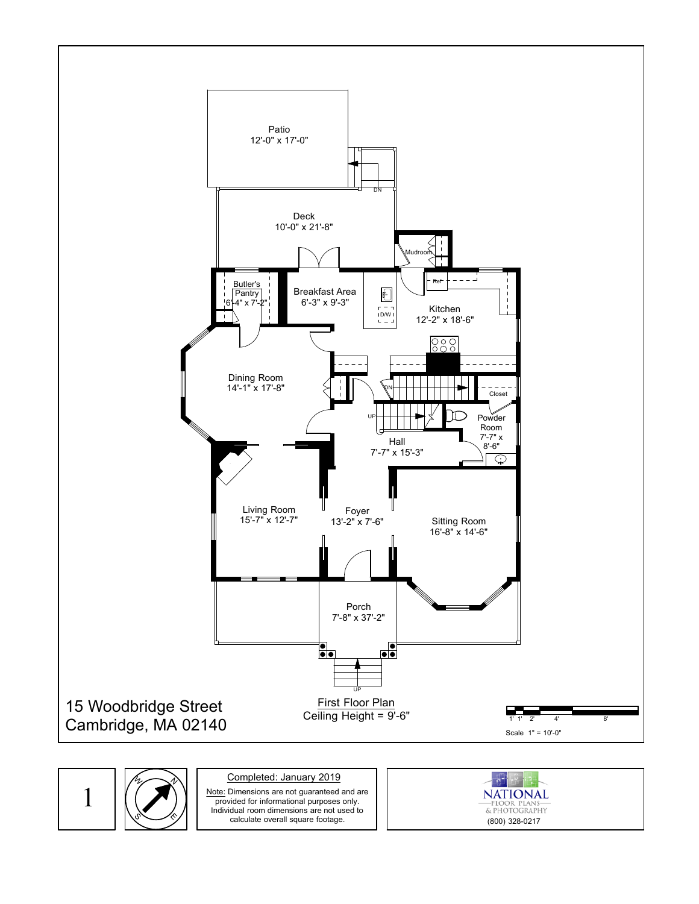

## N S,  $\mathcal{U}_\mathcal{L}$  $\hat{\gamma}$

## Completed: January 2019

1  $(\sqrt{})$  Note: Dimensions are not guaranteed and are provided for informational purposes only. Individual room dimensions are not used to calculate overall square footage.

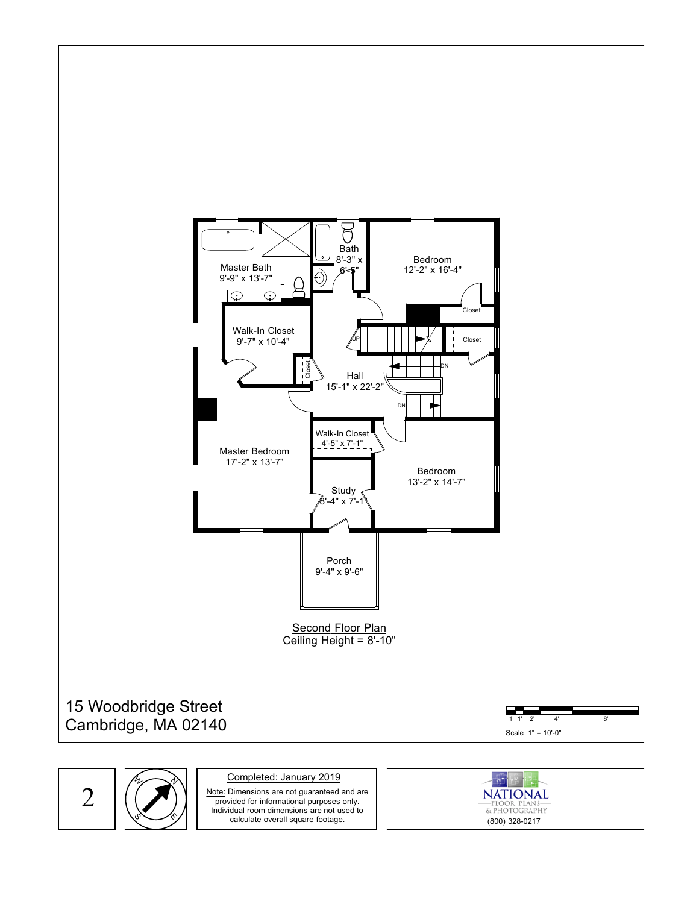

N  $\mathcal{U}_\mathcal{L}$ 

 $\hat{\gamma}$ 

S,

Completed: January 2019

 $2 \mid (\bigcirc$   $)$   $\mid$   $\frac{\text{Note: Dimensions are not guaranteed and are provided for informational purposes only.}$ provided for informational purposes only. Individual room dimensions are not used to calculate overall square footage.

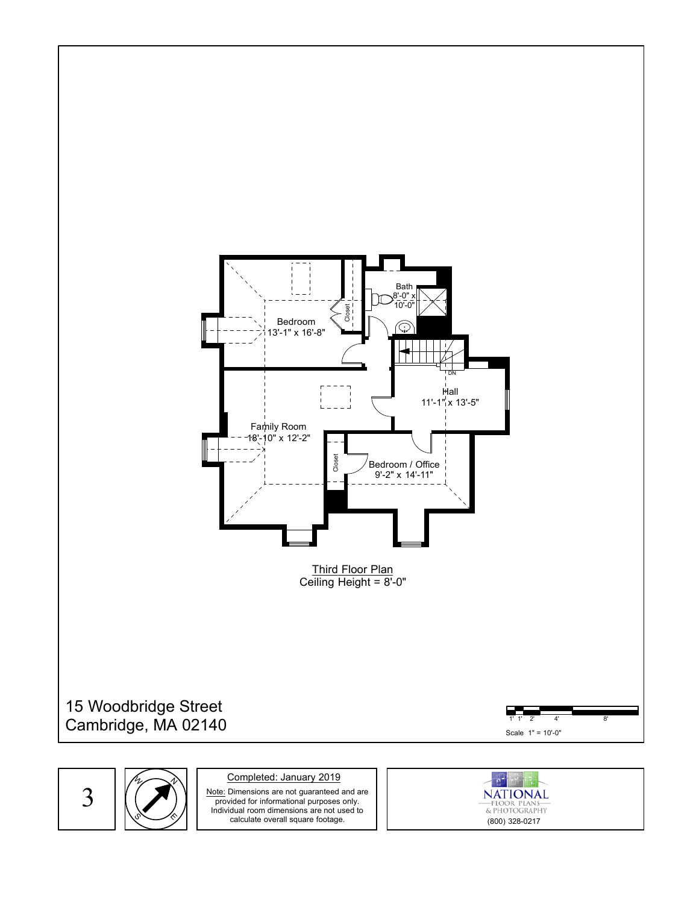

S,  $\mathcal{U}_\mathcal{L}$ 

N

 $\hat{\gamma}$ 

Completed: January 2019

 $3 \mid (\sim) \mid \frac{\text{Note: Dimensions are not guaranteed and are provided for informational purposes only.}}{\text{provided for informational purposes only.}}$ provided for informational purposes only. Individual room dimensions are not used to calculate overall square footage.